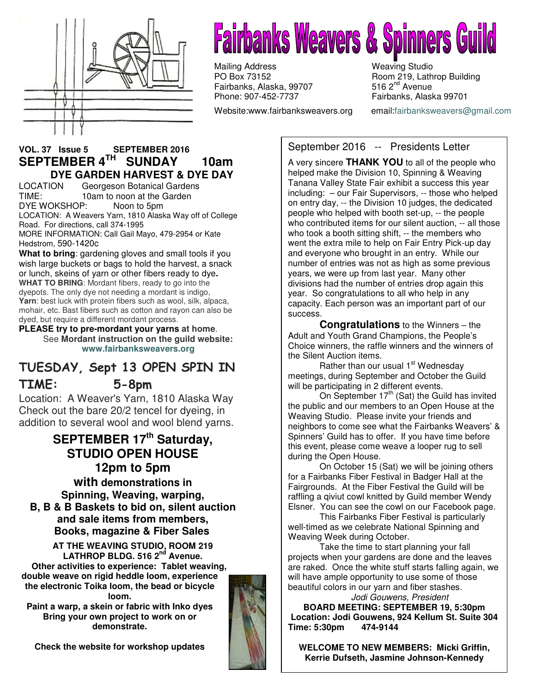

# **Fairbanks Weavers & Spinners Gu**

Mailing Address Weaving Studio<br>
PO Box 73152 Moom 219, Lath Fairbanks, Alaska, 99707 Phone: 907-452-7737 Fairbanks, Alaska 99701

Website:www.fairbanksweavers.org email:fairbanksweavers@gmail.com

Room 219, Lathrop Building<br>516  $2<sup>nd</sup>$  Avenue

### **VOL. 37 Issue 5 SEPTEMBER 2016 SEPTEMBER 4TH SUNDAY 10am DYE GARDEN HARVEST & DYE DAY**

LOCATION Georgeson Botanical Gardens TIME: 10am to noon at the Garden DYE WOKSHOP: Noon to 5pm

LOCATION: A Weavers Yarn, 1810 Alaska Way off of College Road. For directions, call 374-1995

MORE INFORMATION: Call Gail Mayo, 479-2954 or Kate Hedstrom, 590-1420c

**What to bring**: gardening gloves and small tools if you wish large buckets or bags to hold the harvest, a snack or lunch, skeins of yarn or other fibers ready to dye**. WHAT TO BRING**: Mordant fibers, ready to go into the dyepots. The only dye not needing a mordant is indigo, **Yarn**: best luck with protein fibers such as wool, silk, alpaca, mohair, etc. Bast fibers such as cotton and rayon can also be dyed, but require a different mordant process.

**PLEASE try to pre-mordant your yarns at home**. See **Mordant instruction on the guild website: www.fairbanksweavers.org**

## TUESDAY, Sept 13 OPEN SPIN IN TIME: 5-8pm

Location: A Weaver's Yarn, 1810 Alaska Way Check out the bare 20/2 tencel for dyeing, in addition to several wool and wool blend yarns.

## **SEPTEMBER 17th Saturday, STUDIO OPEN HOUSE 12pm to 5pm**

**with demonstrations in Spinning, Weaving, warping, B, B & B Baskets to bid on, silent auction and sale items from members, Books, magazine & Fiber Sales** 

 **AT THE WEAVING STUDIO, ROOM 219 LATHROP BLDG. 516 2nd Avenue. Other activities to experience: Tablet weaving, double weave on rigid heddle loom, experience the electronic Toika loom, the bead or bicycle loom.** 

**Paint a warp, a skein or fabric with Inko dyes Bring your own project to work on or demonstrate.** 

**Check the website for workshop updates** 



## September 2016 -- Presidents Letter

A very sincere **THANK YOU** to all of the people who helped make the Division 10, Spinning & Weaving Tanana Valley State Fair exhibit a success this year including: – our Fair Supervisors, -- those who helped on entry day, -- the Division 10 judges, the dedicated people who helped with booth set-up, -- the people who contributed items for our silent auction. -- all those who took a booth sitting shift, -- the members who went the extra mile to help on Fair Entry Pick-up day and everyone who brought in an entry. While our number of entries was not as high as some previous years, we were up from last year. Many other divisions had the number of entries drop again this year. So congratulations to all who help in any capacity. Each person was an important part of our success.

**Congratulations** to the Winners – the Adult and Youth Grand Champions, the People's Choice winners, the raffle winners and the winners of the Silent Auction items.

Rather than our usual 1<sup>st</sup> Wednesday meetings, during September and October the Guild will be participating in 2 different events.

On September  $17<sup>th</sup>$  (Sat) the Guild has invited the public and our members to an Open House at the Weaving Studio. Please invite your friends and neighbors to come see what the Fairbanks Weavers' & Spinners' Guild has to offer. If you have time before this event, please come weave a looper rug to sell during the Open House.

 On October 15 (Sat) we will be joining others for a Fairbanks Fiber Festival in Badger Hall at the Fairgrounds. At the Fiber Festival the Guild will be raffling a qiviut cowl knitted by Guild member Wendy Elsner. You can see the cowl on our Facebook page.

 This Fairbanks Fiber Festival is particularly well-timed as we celebrate National Spinning and Weaving Week during October.

 Take the time to start planning your fall projects when your gardens are done and the leaves are raked. Once the white stuff starts falling again, we will have ample opportunity to use some of those beautiful colors in our yarn and fiber stashes.

 Jodi Gouwens, President **BOARD MEETING: SEPTEMBER 19, 5:30pm Location: Jodi Gouwens, 924 Kellum St. Suite 304 Time: 5:30pm 474-9144** 

**WELCOME TO NEW MEMBERS: Micki Griffin, Kerrie Dufseth, Jasmine Johnson-Kennedy**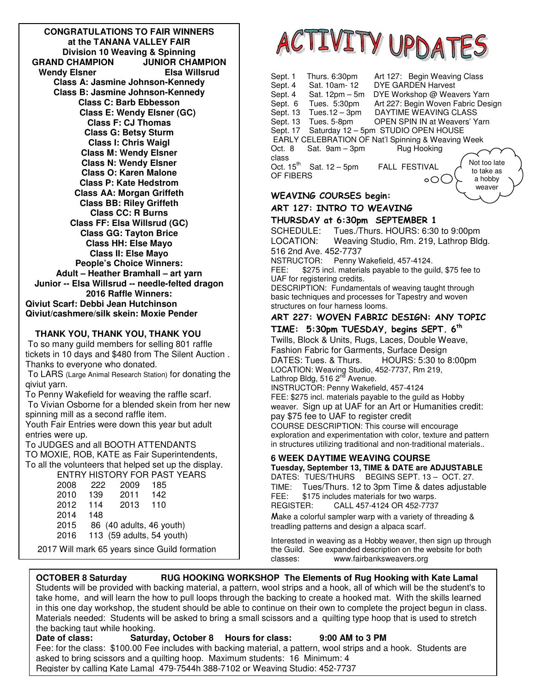**Class G: Betsy Sturm CONGRATULATIONS TO FAIR WINNERS at the TANANA VALLEY FAIR Division 10 Weaving & Spinning GRAND CHAMPION JUNIOR CHAMPION Wendy Elsner Class A: Jasmine Johnson-Kennedy Class B: Jasmine Johnson-Kennedy Class C: Barb Ebbesson Class E: Wendy Elsner (GC) Class F: CJ Thomas Class I: Chris Waigl Class M: Wendy Elsner Class N: Wendy Elsner Class O: Karen Malone Class P: Kate Hedstrom Class AA: Morgan Griffeth Class BB: Riley Griffeth Class CC: R Burns Class FF: Elsa Willsrud (GC) Class GG: Tayton Brice Class HH: Else Mayo Class II: Else Mayo People's Choice Winners: Adult – Heather Bramhall – art yarn Junior -- Elsa Willsrud -- needle-felted dragon 2016 Raffle Winners: Qiviut Scarf: Debbi Jean Hutchinson Qiviut/cashmere/silk skein: Moxie Pender**

#### **THANK YOU, THANK YOU, THANK YOU**

 To so many guild members for selling 801 raffle tickets in 10 days and \$480 from The Silent Auction . Thanks to everyone who donated.

 To LARS (Large Animal Research Station) for donating the qiviut yarn.

To Penny Wakefield for weaving the raffle scarf. To Vivian Osborne for a blended skein from her new spinning mill as a second raffle item.

Youth Fair Entries were down this year but adult entries were up.

To JUDGES and all BOOTH ATTENDANTS TO MOXIE, ROB, KATE as Fair Superintendents, To all the volunteers that helped set up the display. ENTRY HISTORY FOR PAST YEARS

| 2008 | 222 | 2009 | 185                       |
|------|-----|------|---------------------------|
| 2010 | 139 | 2011 | 142                       |
| 2012 | 114 | 2013 | 110                       |
| 2014 | 148 |      |                           |
| 2015 |     |      | 86 (40 adults, 46 youth)  |
| 2016 |     |      | 113 (59 adults, 54 youth) |
|      |     |      |                           |

2017 Will mark 65 years since Guild formation



| Sept. 1                                            | Thurs. 6:30pm                       |  | Art 127: Begin Weaving Class         |  |              |  |
|----------------------------------------------------|-------------------------------------|--|--------------------------------------|--|--------------|--|
| Sept. 4                                            | Sat. 10am-12                        |  | <b>DYE GARDEN Harvest</b>            |  |              |  |
| Sept. 4                                            | Sat. $12pm - 5m$                    |  | DYE Workshop @ Weavers Yarn          |  |              |  |
| Sept. 6                                            | Tues. 5:30pm                        |  | Art 227: Begin Woven Fabric Design   |  |              |  |
| Sept. 13                                           | Tues.12 - 3pm                       |  | DAYTIME WEAVING CLASS                |  |              |  |
| Sept. 13                                           | Tues. 5-8pm                         |  | <b>OPEN SPIN IN at Weavers' Yarn</b> |  |              |  |
| Sept. 17                                           | Saturday 12 - 5pm STUDIO OPEN HOUSE |  |                                      |  |              |  |
| EARLY CELEBRATION OF Nat'l Spinning & Weaving Week |                                     |  |                                      |  |              |  |
| Oct. 8                                             | Sat. 9am - 3pm                      |  | Rug Hooking                          |  |              |  |
| class                                              |                                     |  |                                      |  | Not too late |  |
| Oct. $15th$                                        | Sat. 12 - 5pm                       |  | <b>FALL FESTIVAL</b>                 |  | to take as   |  |
| OF FIBERS                                          |                                     |  |                                      |  | a hobby      |  |
|                                                    |                                     |  |                                      |  | weaver       |  |
| <b>WEAVING COURSES begin:</b>                      |                                     |  |                                      |  |              |  |
|                                                    |                                     |  |                                      |  |              |  |

#### ART 127: INTRO TO WEAVING

THURSDAY at 6:30pm SEPTEMBER 1 SCHEDULE: Tues./Thurs. HOURS: 6:30 to 9:00pm LOCATION: Weaving Studio, Rm. 219, Lathrop Bldg. 516 2nd Ave. 452-7737

NSTRUCTOR: Penny Wakefield, 457-4124.

FEE: \$275 incl. materials payable to the guild, \$75 fee to UAF for registering credits.

DESCRIPTION: Fundamentals of weaving taught through basic techniques and processes for Tapestry and woven structures on four harness looms.

#### ART 227: WOVEN FABRIC DESIGN: ANY TOPIC

TIME:  $5:30$ pm TUESDAY, begins SEPT.  $6<sup>th</sup>$ Twills, Block & Units, Rugs, Laces, Double Weave, Fashion Fabric for Garments, Surface Design HOURS: 5:30 to 8:00pm LOCATION: Weaving Studio, 452-7737, Rm 219, Lathrop Bldg, 516 2<sup>nd</sup> Avenue. INSTRUCTOR: Penny Wakefield, 457-4124 FEE: \$275 incl. materials payable to the guild as Hobby weaver. Sign up at UAF for an Art or Humanities credit: pay \$75 fee to UAF to register credit COURSE DESCRIPTION: This course will encourage exploration and experimentation with color, texture and pattern in structures utilizing traditional and non-traditional materials..

#### **6 WEEK DAYTIME WEAVING COURSE**

**Tuesday, September 13, TIME & DATE are ADJUSTABLE** DATES: TUES/THURS BEGINS SEPT. 13 - OCT. 27. TIME: Tues/Thurs. 12 to 3pm Time & dates adjustable FEE: \$175 includes materials for two warps.<br>REGISTER: CALL 457-4124 OR 452-7737 CALL 457-4124 OR 452-7737

Make a colorful sampler warp with a variety of threading & treadling patterns and design a alpaca scarf.

Interested in weaving as a Hobby weaver, then sign up through the Guild. See expanded description on the website for both classes: www.fairbanksweavers.org

**OCTOBER 8 Saturday RUG HOOKING WORKSHOP The Elements of Rug Hooking with Kate Lamal** Students will be provided with backing material, a pattern, wool strips and a hook, all of which will be the student's to take home, and will learn the how to pull loops through the backing to create a hooked mat. With the skills learned in this one day workshop, the student should be able to continue on their own to complete the project begun in class. Materials needed: Students will be asked to bring a small scissors and a quilting type hoop that is used to stretch the backing taut while hooking.

**Date of class: Saturday, October 8 Hours for class: 9:00 AM to 3 PM** Fee: for the class: \$100.00 Fee includes with backing material, a pattern, wool strips and a hook. Students are asked to bring scissors and a quilting hoop. Maximum students: 16 Minimum: 4 Register by calling Kate Lamal 479-7544h 388-7102 or Weaving Studio: 452-7737